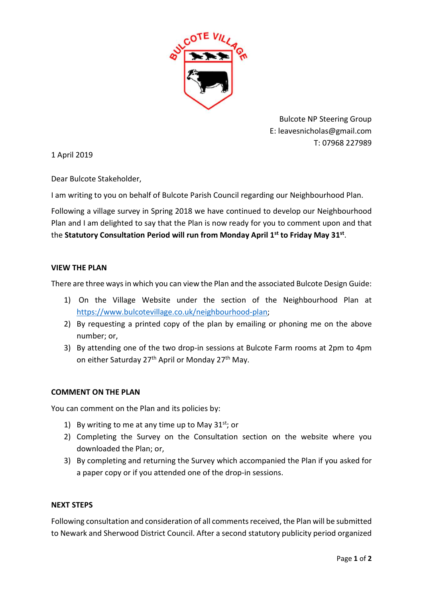

Bulcote NP Steering Group E: leavesnicholas@gmail.com T: 07968 227989

1 April 2019

Dear Bulcote Stakeholder,

I am writing to you on behalf of Bulcote Parish Council regarding our Neighbourhood Plan.

Following a village survey in Spring 2018 we have continued to develop our Neighbourhood Plan and I am delighted to say that the Plan is now ready for you to comment upon and that the Statutory Consultation Period will run from Monday April 1<sup>st</sup> to Friday May 31<sup>st</sup>.

## VIEW THE PLAN

There are three ways in which you can view the Plan and the associated Bulcote Design Guide:

- 1) On the Village Website under the section of the Neighbourhood Plan at https://www.bulcotevillage.co.uk/neighbourhood-plan;
- 2) By requesting a printed copy of the plan by emailing or phoning me on the above number; or,
- 3) By attending one of the two drop-in sessions at Bulcote Farm rooms at 2pm to 4pm on either Saturday 27<sup>th</sup> April or Monday 27<sup>th</sup> May.

## COMMENT ON THE PLAN

You can comment on the Plan and its policies by:

- 1) By writing to me at any time up to May  $31^{st}$ ; or
- 2) Completing the Survey on the Consultation section on the website where you downloaded the Plan; or,
- 3) By completing and returning the Survey which accompanied the Plan if you asked for a paper copy or if you attended one of the drop-in sessions.

## NEXT STEPS

Following consultation and consideration of all comments received, the Plan will be submitted to Newark and Sherwood District Council. After a second statutory publicity period organized